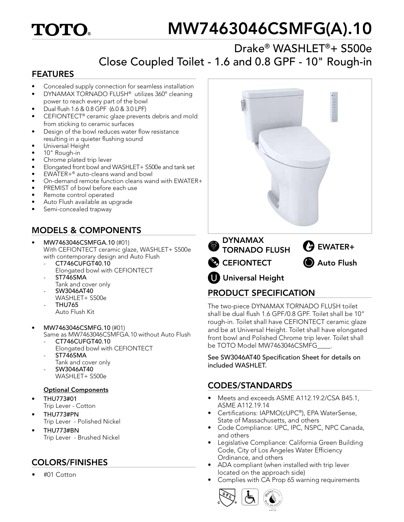# **TOTO**

# MW7463046CSMFG(A).10

## Drake® WASHLET®+ S500e Close Coupled Toilet - 1.6 and 0.8 GPF - 10" Rough-in

#### FEATURES

- Concealed supply connection for seamless installation
- DYNAMAX TORNADO FLUSH<sup>®</sup> utilizes 360° cleaning power to reach every part of the bowl
- Dual flush 1.6 & 0.8 GPF (6.0 & 3.0 LPF)
- CEFIONTECT® ceramic glaze prevents debris and mold from sticking to ceramic surfaces
- Design of the bowl reduces water flow resistance resulting in a quieter flushing sound
- Universal Height
- 10" Rough-in
- Chrome plated trip lever
- Elongated front bowl and WASHLET+ S500e and tank set
- EWATER+® auto-cleans wand and bowl
- On-demand remote function cleans wand with EWATER+
- PREMIST of bowl before each use
- Remote control operated
- Auto Flush available as upgrade
- Semi-concealed trapway

## MODELS & COMPONENTS

- MW7463046CSMFGA.10 (#01) With CEFIONTECT ceramic glaze, WASHLET+ S500e with contemporary design and Auto Flush
	- CT746CUFGT40.10 Elongated bowl with CEFIONTECT
	- ST746SMA
	- Tank and cover only - SW3046AT40
	- WASHLET+ S500e - THU765
	- Auto Flush Kit
- MW7463046CSMFG.10 (#01)
	- Same as MW7463046CSMFGA.10 without Auto Flush - CT746CUFGT40.10
	- Elongated bowl with CEFIONTECT - ST746SMA
	- Tank and cover only
		- SW3046AT40
		- WASHLET+ S500e

#### Optional Components

- THU773#01 Trip Lever - Cotton
- THU773#PN Trip Lever - Polished Nickel
- THU773#BN Trip Lever - Brushed Nickel

## COLORS/FINISHES

• #01 Cotton



## PRODUCT SPECIFICATION

The two-piece DYNAMAX TORNADO FLUSH toilet shall be dual flush 1.6 GPF/0.8 GPF. Toilet shall be 10" rough-in. Toilet shall have CEFIONTECT ceramic glaze and be at Universal Height. Toilet shall have elongated front bowl and Polished Chrome trip lever. Toilet shall be TOTO Model MW7463046CSMFG

See SW3046AT40 Specification Sheet for details on included WASHLET.

#### CODES/STANDARDS

- Meets and exceeds ASME A112.19.2/CSA B45.1, ASME A112.19.14
- Certifications: IAPMO(cUPC®), EPA WaterSense, State of Massachusetts, and others
- Code Compliance: UPC, IPC, NSPC, NPC Canada, and others
- Legislative Compliance: California Green Building Code, City of Los Angeles Water Efficiency Ordinance, and others
- ADA compliant (when installed with trip lever located on the approach side)
- Complies with CA Prop 65 warning requirements